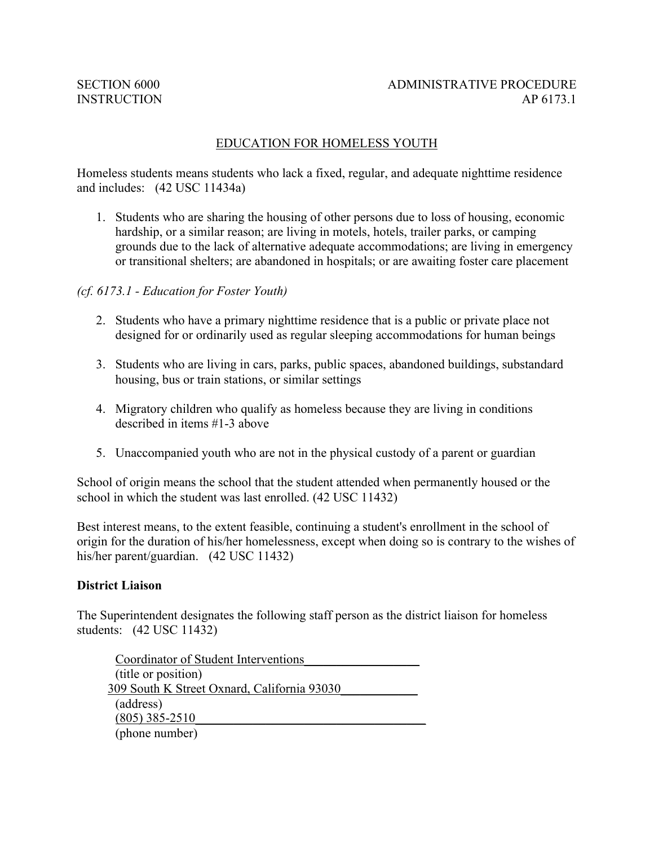### EDUCATION FOR HOMELESS YOUTH

Homeless students means students who lack a fixed, regular, and adequate nighttime residence and includes: (42 USC 11434a)

1. Students who are sharing the housing of other persons due to loss of housing, economic hardship, or a similar reason; are living in motels, hotels, trailer parks, or camping grounds due to the lack of alternative adequate accommodations; are living in emergency or transitional shelters; are abandoned in hospitals; or are awaiting foster care placement

#### *(cf. 6173.1 - Education for Foster Youth)*

- 2. Students who have a primary nighttime residence that is a public or private place not designed for or ordinarily used as regular sleeping accommodations for human beings
- 3. Students who are living in cars, parks, public spaces, abandoned buildings, substandard housing, bus or train stations, or similar settings
- 4. Migratory children who qualify as homeless because they are living in conditions described in items #1-3 above
- 5. Unaccompanied youth who are not in the physical custody of a parent or guardian

School of origin means the school that the student attended when permanently housed or the school in which the student was last enrolled. (42 USC 11432)

Best interest means, to the extent feasible, continuing a student's enrollment in the school of origin for the duration of his/her homelessness, except when doing so is contrary to the wishes of his/her parent/guardian. (42 USC 11432)

#### **District Liaison**

The Superintendent designates the following staff person as the district liaison for homeless students: (42 USC 11432)

Coordinator of Student Interventions\_\_\_\_\_\_\_\_\_\_\_\_\_\_\_\_\_\_ (title or position) 309 South K Street Oxnard, California 93030\_\_\_\_\_\_\_\_\_\_\_\_ (address)  $(805)$  385-2510 (phone number)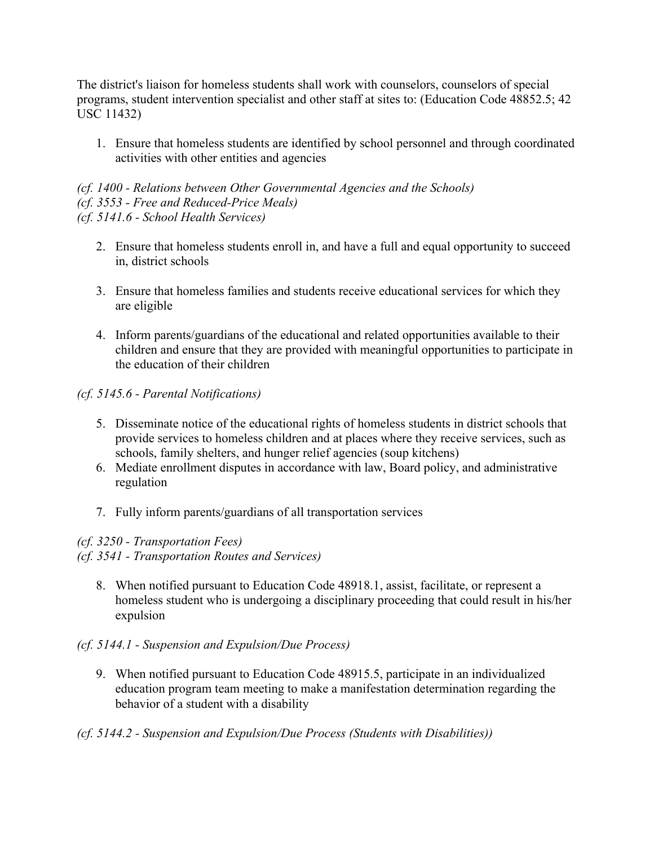The district's liaison for homeless students shall work with counselors, counselors of special programs, student intervention specialist and other staff at sites to: (Education Code 48852.5; 42 USC 11432)

1. Ensure that homeless students are identified by school personnel and through coordinated activities with other entities and agencies

*(cf. 1400 - Relations between Other Governmental Agencies and the Schools) (cf. 3553 - Free and Reduced-Price Meals) (cf. 5141.6 - School Health Services)*

- 2. Ensure that homeless students enroll in, and have a full and equal opportunity to succeed in, district schools
- 3. Ensure that homeless families and students receive educational services for which they are eligible
- 4. Inform parents/guardians of the educational and related opportunities available to their children and ensure that they are provided with meaningful opportunities to participate in the education of their children

*(cf. 5145.6 - Parental Notifications)*

- 5. Disseminate notice of the educational rights of homeless students in district schools that provide services to homeless children and at places where they receive services, such as schools, family shelters, and hunger relief agencies (soup kitchens)
- 6. Mediate enrollment disputes in accordance with law, Board policy, and administrative regulation
- 7. Fully inform parents/guardians of all transportation services

# *(cf. 3250 - Transportation Fees)*

*(cf. 3541 - Transportation Routes and Services)*

8. When notified pursuant to Education Code 48918.1, assist, facilitate, or represent a homeless student who is undergoing a disciplinary proceeding that could result in his/her expulsion

# *(cf. 5144.1 - Suspension and Expulsion/Due Process)*

9. When notified pursuant to Education Code 48915.5, participate in an individualized education program team meeting to make a manifestation determination regarding the behavior of a student with a disability

# *(cf. 5144.2 - Suspension and Expulsion/Due Process (Students with Disabilities))*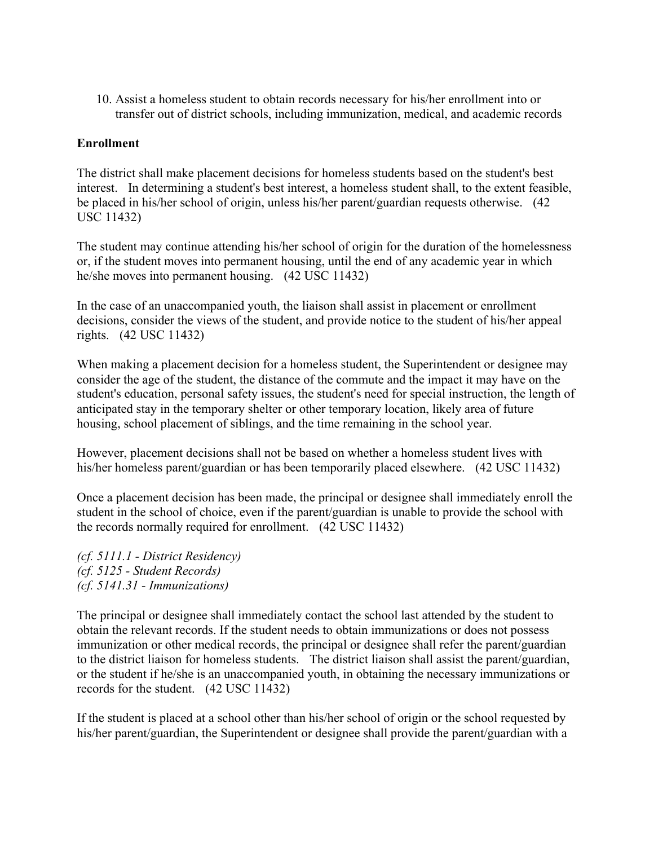10. Assist a homeless student to obtain records necessary for his/her enrollment into or transfer out of district schools, including immunization, medical, and academic records

### **Enrollment**

The district shall make placement decisions for homeless students based on the student's best interest. In determining a student's best interest, a homeless student shall, to the extent feasible, be placed in his/her school of origin, unless his/her parent/guardian requests otherwise. (42 USC 11432)

The student may continue attending his/her school of origin for the duration of the homelessness or, if the student moves into permanent housing, until the end of any academic year in which he/she moves into permanent housing. (42 USC 11432)

In the case of an unaccompanied youth, the liaison shall assist in placement or enrollment decisions, consider the views of the student, and provide notice to the student of his/her appeal rights. (42 USC 11432)

When making a placement decision for a homeless student, the Superintendent or designee may consider the age of the student, the distance of the commute and the impact it may have on the student's education, personal safety issues, the student's need for special instruction, the length of anticipated stay in the temporary shelter or other temporary location, likely area of future housing, school placement of siblings, and the time remaining in the school year.

However, placement decisions shall not be based on whether a homeless student lives with his/her homeless parent/guardian or has been temporarily placed elsewhere. (42 USC 11432)

Once a placement decision has been made, the principal or designee shall immediately enroll the student in the school of choice, even if the parent/guardian is unable to provide the school with the records normally required for enrollment. (42 USC 11432)

*(cf. 5111.1 - District Residency) (cf. 5125 - Student Records) (cf. 5141.31 - Immunizations)*

The principal or designee shall immediately contact the school last attended by the student to obtain the relevant records. If the student needs to obtain immunizations or does not possess immunization or other medical records, the principal or designee shall refer the parent/guardian to the district liaison for homeless students. The district liaison shall assist the parent/guardian, or the student if he/she is an unaccompanied youth, in obtaining the necessary immunizations or records for the student. (42 USC 11432)

If the student is placed at a school other than his/her school of origin or the school requested by his/her parent/guardian, the Superintendent or designee shall provide the parent/guardian with a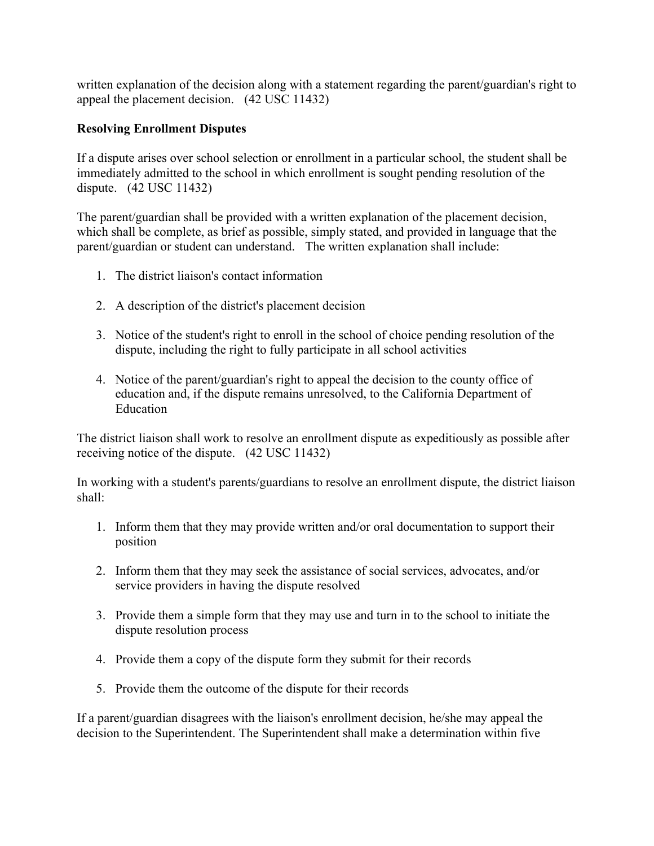written explanation of the decision along with a statement regarding the parent/guardian's right to appeal the placement decision. (42 USC 11432)

## **Resolving Enrollment Disputes**

If a dispute arises over school selection or enrollment in a particular school, the student shall be immediately admitted to the school in which enrollment is sought pending resolution of the dispute. (42 USC 11432)

The parent/guardian shall be provided with a written explanation of the placement decision, which shall be complete, as brief as possible, simply stated, and provided in language that the parent/guardian or student can understand. The written explanation shall include:

- 1. The district liaison's contact information
- 2. A description of the district's placement decision
- 3. Notice of the student's right to enroll in the school of choice pending resolution of the dispute, including the right to fully participate in all school activities
- 4. Notice of the parent/guardian's right to appeal the decision to the county office of education and, if the dispute remains unresolved, to the California Department of Education

The district liaison shall work to resolve an enrollment dispute as expeditiously as possible after receiving notice of the dispute. (42 USC 11432)

In working with a student's parents/guardians to resolve an enrollment dispute, the district liaison shall:

- 1. Inform them that they may provide written and/or oral documentation to support their position
- 2. Inform them that they may seek the assistance of social services, advocates, and/or service providers in having the dispute resolved
- 3. Provide them a simple form that they may use and turn in to the school to initiate the dispute resolution process
- 4. Provide them a copy of the dispute form they submit for their records
- 5. Provide them the outcome of the dispute for their records

If a parent/guardian disagrees with the liaison's enrollment decision, he/she may appeal the decision to the Superintendent. The Superintendent shall make a determination within five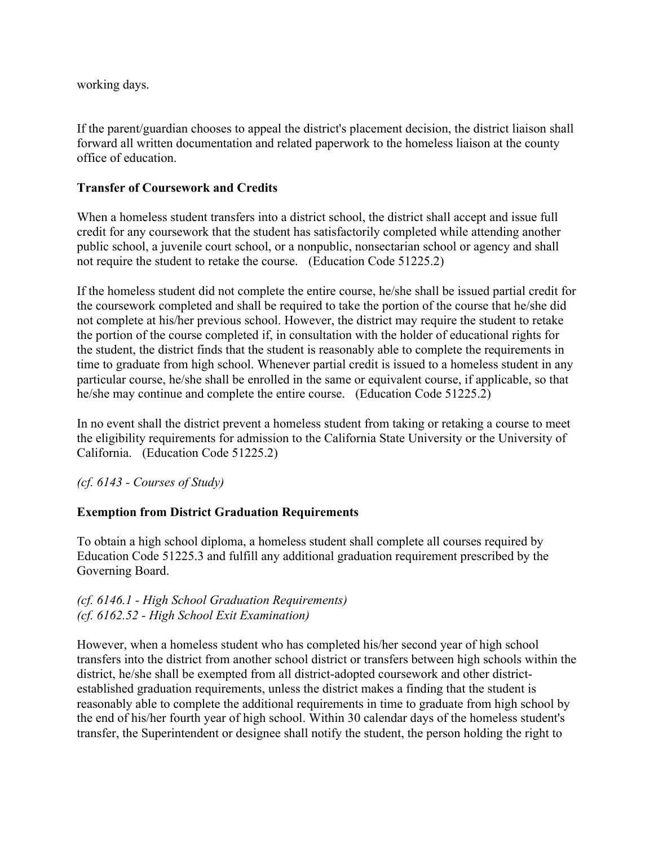working days.

If the parent/guardian chooses to appeal the district's placement decision, the district liaison shall forward all written documentation and related paperwork to the homeless liaison at the county office of education.

## **Transfer of Coursework and Credits**

When a homeless student transfers into a district school, the district shall accept and issue full credit for any coursework that the student has satisfactorily completed while attending another public school, a juvenile court school, or a nonpublic, nonsectarian school or agency and shall not require the student to retake the course. (Education Code 51225.2)

If the homeless student did not complete the entire course, he/she shall be issued partial credit for the coursework completed and shall be required to take the portion of the course that he/she did not complete at his/her previous school. However, the district may require the student to retake the portion of the course completed if, in consultation with the holder of educational rights for the student, the district finds that the student is reasonably able to complete the requirements in time to graduate from high school. Whenever partial credit is issued to a homeless student in any particular course, he/she shall be enrolled in the same or equivalent course, if applicable, so that he/she may continue and complete the entire course. (Education Code 51225.2)

In no event shall the district prevent a homeless student from taking or retaking a course to meet the eligibility requirements for admission to the California State University or the University of California. (Education Code 51225.2)

*(cf. 6143 - Courses of Study)*

# **Exemption from District Graduation Requirements**

To obtain a high school diploma, a homeless student shall complete all courses required by Education Code 51225.3 and fulfill any additional graduation requirement prescribed by the Governing Board.

## *(cf. 6146.1 - High School Graduation Requirements) (cf. 6162.52 - High School Exit Examination)*

However, when a homeless student who has completed his/her second year of high school transfers into the district from another school district or transfers between high schools within the district, he/she shall be exempted from all district-adopted coursework and other districtestablished graduation requirements, unless the district makes a finding that the student is reasonably able to complete the additional requirements in time to graduate from high school by the end of his/her fourth year of high school. Within 30 calendar days of the homeless student's transfer, the Superintendent or designee shall notify the student, the person holding the right to